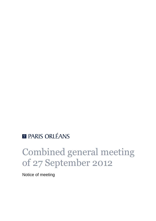## **E PARIS ORLÉANS**

# Combined general meeting of 27 September 2012

Notice of meeting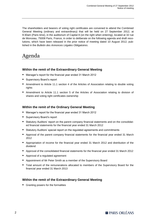The shareholders and bearers of voting right certificates are convened to attend the Combined General Meeting (ordinary and extraordinary) that will be held on 27 September 2012, at 9:30am (Paris time), in the auditorium of Capital 8 (on the right when entering), located at 32 rue de Monceau, 75008 Paris, France, in order to deliberate on the following agenda and draft resolutions, which have been released in the prior notice of meeting dated 10 August 2012, published in the *Bulletin des Annonces Légales Obligatoires*.

## Agenda

#### **Within the remit of the Extraordinary General Meeting**

- Manager's report for the financial year ended 31 March 2012
- Supervisory Board's report
- Amendment to Article 11.1 section 4 of the Articles of Association relating to double voting rights
- Amendment to Article 11.1 section 5 of the Articles of Association relating to division of shares and voting right certificates ownership

#### **Within the remit of the Ordinary General Meeting**

- Manager's report for the financial year ended 31 March 2012
- Supervisory Board's report
- Statutory Auditors' report on the parent company financial statements and on the consolidated financial statements for the financial year ended 31 March 2012
- Statutory Auditors' special report on the regulated agreements and commitments
- Approval of the parent company financial statements for the financial year ended 31 March 2012
- Appropriation of income for the financial year ended 31 March 2012 and distribution of the dividend
- Approval of the consolidated financial statements for the financial year ended 31 March 2012
- Approval of a regulated agreement
- Appointment of Mr Peter Smith as a member of the Supervisory Board
- Total amount of the remunerations allocated to members of the Supervisory Board for the financial year ended 31 March 2013

#### **Within the remit of the Extraordinary General Meeting**

Granting powers for the formalities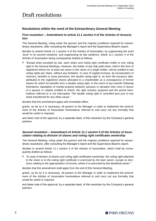## Draft resolutions

#### **Resolutions within the remit of the Extraordinary General Meeting**

#### *First resolution – Amendment to article 11.1 section 4 of the Articles of Association*

The General Meeting, ruling under the quorum and the majority conditions required for extraordinary resolutions, after consulting the Manager's report and the Supervisory Board's report,

decides to amend Article 11.1 section 4 of the Articles of Association, by suppressing the word *"pure"* in its second sentence, and suppressing its last sentence, article 11.1 section 4 of the Articles of Association being consequently drafted as follows:

 *"Except when provided by law, each share and voting right certificate entitle to one voting*  right in the General Meetings. However, the holder of any fully paid share, held in the form of *registered shares for at least two years in the name of a single holder, will be entitled to two voting rights per share, without any limitation. In case of capital increase, by incorporation of reserves, benefits or issue premiums, the double voting right is, as from the issuance date, attributed to the registered shares allocated to a shareholder as a consequence of former shares for which he benefits from a double voting right. In the event of any transfer following inheritance, liquidation of marital property between spouses or donation inter vivos in favour of a spouse or relative entitled to inherit, the right remains acquired and the period hereinabove referred to is not interrupted. The double voting right is cancelled ipso jure of any share transferred for any other cause."*

decides that this amendment apply with immediate effect,

grants, as far as it is necessary, all powers to the Manager in order to implement the amendment of the Articles of Association hereinabove referred to and carry out any formality that would be useful or required,

and takes note of the approval, by a separate deed, of this resolution by the Company's general partners.

#### *Second resolution – Amendment of Article 11.1 section 5 of the Articles of Association relating to division of shares and voting right certificates ownership*

The General Meeting, ruling under the quorum and the majority conditions required for extraordinary resolutions, after consulting the Manager's report and the Supervisory Board's report,

decides to amend Article 11.1 section 5 of the Articles of Association, which shall be consequently drafted as follows:

 *"In case of division of shares and voting right certificates ownership, the voting right attached to the share or to the voting right certificate is exercised by the bare owner, except on decisions relating to the appropriation of income, where it is exercised by the beneficial owner."*

decides that this amendment shall apply from the end of this General Meeting,

grants, as far as it is necessary, all powers to the Manager in order to implement the amendment of the Articles of Association hereinabove referred to and carry out any formality that would be useful or required,

and takes note of the approval, by a separate deed, of this resolution by the Company's general partners.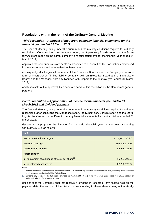#### **Resolutions within the remit of the Ordinary General Meeting**

#### *Third resolution – Approval of the Parent company financial statements for the financial year ended 31 March 2012*

The General Meeting, ruling under the quorum and the majority conditions required for ordinary resolutions, after consulting the Manager's report, the Supervisory Board's report and the Statutory Auditors' report on the parent company financial statements for the financial year ended 31 March 2012,

approves the said financial statements as presented to it, as well as the transactions evidenced in these statements and summarised in these reports,

consequently, discharges all members of the Executive Board under the Company's previous form of incorporation (limited liability company with an Executive Board and a Supervisory Board) and the Manager, from any liabilities with respect to the financial year ended 31 March 2012,

and takes note of the approval, by a separate deed, of this resolution by the Company's general partners.

#### *Fourth resolution – Appropriation of income for the financial year ended 31 March 2012 and dividend payment*

The General Meeting, ruling under the quorum and the majority conditions required for ordinary resolutions, after consulting the Manager's report, the Supervisory Board's report and the Statutory Auditors' report on the Parent company financial statements for the financial year ended 31 March 2012,

decides to appropriate the income for the said financial year, a net loss amounting €114,297,250.92, as follows:

| In $\epsilon$                                                       |                    |  |
|---------------------------------------------------------------------|--------------------|--|
| Net income for financial year                                       | (114, 297, 250.92) |  |
| Retained earnings                                                   | 198, 345, 972. 76  |  |
| Distributable income                                                | 84,048,721.84      |  |
| <b>Appropriation</b>                                                |                    |  |
| to payment of a dividend of $\epsilon$ 0.50 per share <sup>12</sup> | 16,257,793.50      |  |
| to retained earnings for                                            | 67,790,928.34      |  |

**Notes**

1. Number of shares and investment certificates entitled to a dividend registered on the detachment date, excluding treasury shares and investment certificates held by Paris Orléans.

2. Dividend fully eligible for the 40% rebate provided for in Article 158 (3) (2°) of the French Tax Code (*Code général des impôts*) for individuals who are French tax residents.

decides that the Company shall not receive a dividend in respect of any shares held on the payment date, the amount of the dividend corresponding to these shares being automatically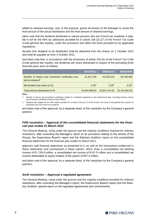added to retained earnings, and, to this purpose, grants all powers to the Manager to revise the final amount of the actual distribution and the final amount of retained earnings,

takes note that the dividend distributed to natural persons who are French tax residents is eligible in full for the 40% tax allowance provided for in article 158 (3) ( $2^{\circ}$ ) of the French Tax Code (*Code général des impôts*), under the provisions and within the limits provided for by applicable regulations,

decides that dividend to be distributed shall be detached from the shares on 1 October 2012 and shall be payable as from 4 October 2012,

and takes note that, in accordance with the provisions of article 243 bis of the French Tax Code (*Code général des impôts*), the dividends per share distributed in respect of the preceding three financial years were as follows:

|                                                                                     | $\overline{12010}$ /2011 $^\dagger$ | 2009/2010     | 2008/2009     |
|-------------------------------------------------------------------------------------|-------------------------------------|---------------|---------------|
| Number of shares and investment certificates enti-<br>tled to dividend <sup>1</sup> | 31,611,745                          | 31,020,213    | 30,748,400    |
| Net dividend per share (in $\epsilon$ )                                             | $0.40^{2}$                          | $0.35^{2}$    | $0.35^{2}$    |
| Total amount distributed (in $\epsilon$ )                                           | 12,644,698.00                       | 10,857,074.55 | 10.761.940.00 |

**Notes**

3. Number of shares and investment certificates entitled to a dividend registered on the detachment date, excluding treasury shares and investment certificates held by Paris Orléans.

4. Dividend fully eligible for the 40% rebate provided for in Article 158 (3) (2°) of the French Tax Code (*Code général des impôts*) for individuals who are French tax residents.

and takes note of the approval, by a separate deed, of this resolution by the Company's general partners.

#### *Fifth resolution – Approval of the consolidated financial statements for the financial year ended 31 March 2012*

The General Meeting, ruling under the quorum and the majority conditions required for ordinary resolutions, after consulting the Manager's report (in its provisions relating to the activity of the Group), the Supervisory Board's report and the Statutory Auditors' report on the consolidated financial statements for the financial year ended 31 March 2012,

approves said financial statements as presented to it, as well as the transactions evidenced in these statements and summarized in these reports, which show a consolidated net banking income of €1,139.9 million, a consolidated net income of €141.5 million and a consolidated net income attributable to equity holders of the parent of €37.2 million,

and takes note of the approval, by a separate deed, of this resolution by the Company's general partners.

#### *Sixth resolution – Approval a regulated agreement*

The General Meeting, ruling under the quorum and the majority conditions provided for ordinary resolutions, after consulting the Manager's report, the Supervisory Board's report and the Statutory Auditors' special report on the regulated agreements and commitments,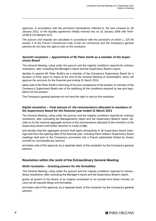approves, in accordance with the provisions hereinabove referred to, the tacit renewal on 28 January 2012, of the liquidity agreement initially entered into on 23 January 2008 with Rothschild & Cie Banque SCS.

The quorum and majority are calculated in accordance with the provisions of article L. 225-40 section 4 of the French Commercial Code (*Code de commerce*) and the Company's general partners do not have the right to vote on this resolution.

#### *Seventh resolution – Appointment of Mr Peter Smith as a member of the Supervisory Board*

The General Meeting, ruling under the quorum and the majority conditions required for ordinary resolutions, after consulting the Manager's report and the Supervisory Board's report,

decides to appoint Mr Peter Smith's as a member of the Company's Supervisory Board for a duration of three years to expire at the end of the General Meeting of shareholders which will approve the accounts for the financial year ending 31 March 2015,

takes note of Mr Peter Smith's informing of his prior acceptance of the position of member of the Company's Supervisory Board and of his satisfying all the conditions required by law and regulations for the position.

The Company's general partners do not have the right to vote on this resolution.

#### *Eighth resolution – Total amount of the remunerations allocated to members of the Supervisory Board for the financial year ended 31 March 2013*

The General Meeting, ruling under the quorum and the majority conditions required for ordinary resolutions, after consulting the Management's report and the Supervisory Board's report, decides to fix the maximal aggregate amount of the remunerations allocated to the members of the Supervisory Board until further decision to a total of [**●**]€,

and decides that this aggregate amount shall apply retroactively to all Supervisory Board meetings held from the opening date of the financial year, including Paris Orléans' Supervisory Board meetings held prior to the Company's conversion into a French partnership limited by shares (*société en commandite par actions*),

and takes note of the approval, by a separate deed, of this resolution by the Company's general partners.

#### **Resolution within the remit of the Extraordinary General Meeting**

#### *Ninth resolution – Granting powers for the formalities*

The General Meeting, ruling under the quorum and the majority conditions required for extraordinary resolutions, after consulting the Manager's report and the Supervisory Board's report,

grants all powers to the bearer of an original counterpart or an excerpt from these minutes, to carry out all requisite filings and formalities,

and takes note of the approval, by a separate deed, of this resolution by the Company's general partners.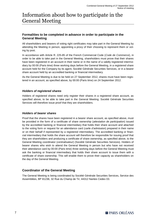### Information about how to participate in the General Meeting

#### **Formalities to be completed in advance in order to participate in the General Meeting**

All shareholders and bearers of voting right certificates may take part in the General Meeting by attending the Meeting in person, appointing a proxy of their choosing to represent them or voting by post.

In accordance with Article R. 225-85 of the French Commercial Code (*Code de Commerce*), in order to be able to take part in the General Meeting, shareholders must prove that their shares have been registered in an account in their name or in the name of a validly registered intermediary by 00:00 (Paris time) three working days before the General Meeting, in a registered share account held for the Company by its agent, Société Générale Securities Services, or in a bearer share account held by an accredited banking or financial intermediary.

As the General Meeting is due to be held on 27 September 2012, shares must have been registered in an account, as specified above, by 00:00 (Paris time) on 24 September 2012.

#### *Holders of registered shares*

Holders of registered shares need only register their shares in a registered share account, as specified above, to be able to take part in the General Meeting. Société Générale Securities Services will therefore issue proof that they are shareholders.

#### *Holders of bearer shares*

Proof that the shares have been registered in a bearer share account, as specified above, must be provided in the form of a certificate of share ownership (*attestation de participation*) issued by the accredited banking or financial intermediary that holds their share account and attached to the voting form or request for an attendance card (*carte d'admission*) prepared in their name or on their behalf if represented by a registered intermediary. The accredited banking or financial intermediary that holds the share account will therefore be responsible for issuing proof that they are shareholders and producing a certificate of share ownership, as specified above, to the General Meeting coordinator (*centralisateur*) (Société Générale Securities Services). Holders of bearer shares who wish to attend the General Meeting in person but who have not received their attendance card by 00:00 (Paris time) three working days before the General Meeting must ask the banking or financial intermediary that holds their share account to issue them with a certificate of share ownership. This will enable them to prove their capacity as shareholders on the day of the General Meeting.

#### **Coordinator of the General Meeting**

The General Meeting is being coordinated by Société Générale Securities Services, Service des Assemblées, BP 81236, 32 Rue du Champ de Tir, 44312 Nantes Cedex 03.

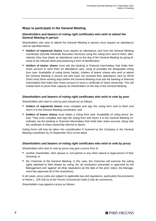#### **Ways to participate in the General Meeting**

#### *Shareholders and bearers of voting right certificates who wish to attend the General Meeting in person*

Shareholders who wish to attend the General Meeting in person must request an attendance card as specified below.

- **Holders of registered shares** must request an attendance card from the General Meeting coordinator (Société Générale Securities Services) using the voting form sent to them; alternatively, they may obtain an attendance card on the day of the General Meeting by going directly to the relevant desk and producing a form of identification.
- **Holders of bearer shares** must ask the banking or financial intermediary that holds their share account to send them an attendance card, using (if possible) the designated voting form (see *'Availability of voting forms'* below). Holders of bearer shares who wish to attend the General Meeting in person but who have not received their attendance card by 00:00 (Paris time) three working days before the General Meeting must ask the banking or financial intermediary that holds their share account to issue a certificate of share ownership. This will enable them to prove their capacity as shareholders on the day of the General Meeting.

#### *Shareholders and bearers of voting right certificates who wish to vote by post*

Shareholders who wish to vote by post should act as follows:

- **holders of registered shares** must complete and sign the voting form sent to them and return it to the General Meeting coordinator; and
- **holders of bearer shares** must obtain a voting form (see *'Availability of voting forms'* below). They must complete and sign the voting form and return it to the General Meeting coordinator via the banking or financial intermediary that holds their share account, along with the certificate of share ownership referred to above.

Voting forms will only be taken into consideration if received by the Company or the General Meeting coordinator by 24 September 2012 at the latest.

#### *Shareholders and bearers of voting right certificates who wish to vote by proxy*

Shareholders who wish to vote by proxy may give a proxy form to:

- **E** another shareholder, their spouse or civil partner or any other natural or legal person of their choosing; or
- the Chairman of the General Meeting; in this case, the Chairman will exercise the voting rights attached to their shares by voting 'for' all resolutions presented or approved by the Management and 'against' all other resolutions (at the date of this prior notice, the Management has approved all of the resolutions).

In all cases, proxy votes are subject to applicable law and regulations, particularly the provisions of Article L. 225-106 (I) of the French Commercial Code (*Code de commerce*).

Shareholders may appoint a proxy as follows: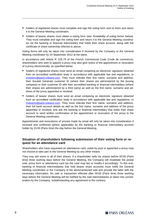- **h** holders of registered shares must complete and sign the voting form sent to them and return it to the General Meeting coordinator;
- holders of bearer shares must obtain a voting form (see *'Availability of voting forms'* below). They must complete and sign the voting form and return it to the General Meeting coordinator via the banking or financial intermediary that holds their share account, along with the certificate of share ownership referred to above.

Voting forms will only be taken into consideration if received by the Company or the General Meeting coordinator by 24 September 2012 at the latest.

In accordance with Article R. 225-79 of the French Commercial Code (*Code de commerce*), shareholders who wish to appoint a proxy may also give notice of the appointment or revocation of a proxy electronically, as specified below:

- **holders of registered shares must send an email containing an electronic signature obtained** from an accredited certification body in accordance with applicable law and regulations, to [investors@paris-orleans.com.](mailto:investors@paris-orleans.com) They must indicate their first name, surname and address, their Société Générale customer ID (where their shares are administered by the issuing company) or their customer ID with their accredited banking or financial intermediary (where their shares are administered by a third party) as well as the first name, surname and address of the proxy appointed or revoked;
- **holders of bearer shares must send an email containing an electronic signature obtained** from an accredited certification body in accordance with applicable law and regulations, to [investors@paris-orleans.com.](mailto:investors@paris-orleans.com) They must indicate their first name, surname and address, their full bank account details as well as the first name, surname and address of the proxy appointed or revoked, and ask the banking or financial intermediary that holds their share account to send written confirmation of the appointment or revocation of the proxy to the General Meeting coordinator.

Appointments and revocations of proxies made by email will only be taken into consideration if received and confirmed (where applicable) by the banking or financial intermediary account holder by 15:00 (Paris time) the day before the General Meeting.

#### **Situation of shareholders following submission of their voting form or request for an attendance card**

Shareholders who have requested an attendance card, voted by post or appointed a proxy may not choose to take part in the General Meeting by any other means.

They may sell some or all of their shares. If a shareholder sells his shares before 00:00 (Paris time) three working days before the General Meeting, the Company will invalidate the postal vote, proxy form or attendance card (as the case may be) or modify it accordingly. To this end, banking or financial intermediaries that hold bearer share accounts must notify the General Meeting coordinator or the Company of the aforementioned sale and provide the latter with the necessary information. No sale or transaction effected after 00:00 (Paris time) three working days before the General Meeting will be notified by the said intermediaries or taken into consideration by the Company, notwithstanding any agreement to the contrary.